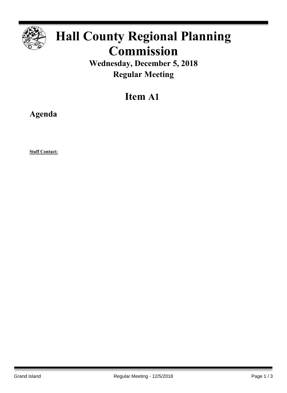

## **Hall County Regional Planning Commission**

**Wednesday, December 5, 2018 Regular Meeting**

## **Item A1**

**Agenda**

**Staff Contact:**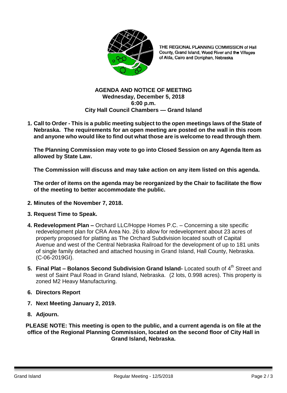

THE REGIONAL PLANNING COMMISSION of Hall County, Grand Island, Wood River and the Villages of Alda, Cairo and Doniphan, Nebraska

## **AGENDA AND NOTICE OF MEETING Wednesday, December 5, 2018 6:00 p.m. City Hall Council Chambers — Grand Island**

**1. Call to Order - This is a public meeting subject to the open meetings laws of the State of Nebraska. The requirements for an open meeting are posted on the wall in this room and anyone who would like to find out what those are is welcome to read through them**.

**The Planning Commission may vote to go into Closed Session on any Agenda Item as allowed by State Law.**

**The Commission will discuss and may take action on any item listed on this agenda.**

**The order of items on the agenda may be reorganized by the Chair to facilitate the flow of the meeting to better accommodate the public.**

- **2. Minutes of the November 7, 2018.**
- **3. Request Time to Speak.**
- **4. Redevelopment Plan –** Orchard LLC/Hoppe Homes P.C. Concerning a site specific redevelopment plan for CRA Area No. 26 to allow for redevelopment about 23 acres of property proposed for platting as The Orchard Subdivision located south of Capital Avenue and west of the Central Nebraska Railroad for the development of up to 181 units of single family detached and attached housing in Grand Island, Hall County, Nebraska. (C-06-2019GI).
- **5. Final Plat Bolanos Second Subdivision Grand Island- Located south of 4<sup>th</sup> Street and** west of Saint Paul Road in Grand Island, Nebraska. (2 lots, 0.998 acres). This property is zoned M2 Heavy Manufacturing.
- **6. Directors Report**
- **7. Next Meeting January 2, 2019.**
- **8. Adjourn.**

**PLEASE NOTE: This meeting is open to the public, and a current agenda is on file at the office of the Regional Planning Commission, located on the second floor of City Hall in Grand Island, Nebraska.**